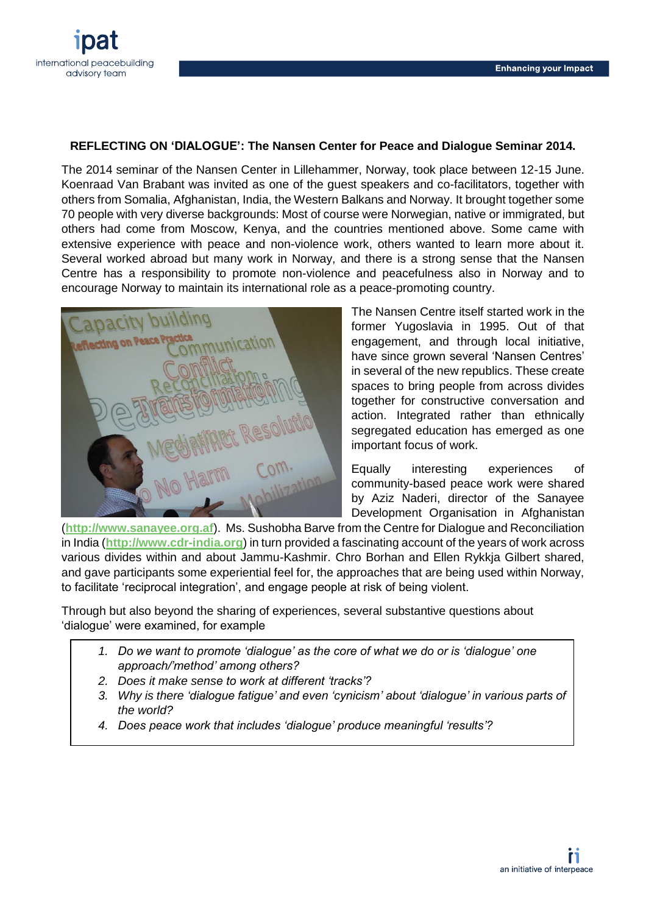

## **REFLECTING ON 'DIALOGUE': The Nansen Center for Peace and Dialogue Seminar 2014.**

The 2014 seminar of the Nansen Center in Lillehammer, Norway, took place between 12-15 June. Koenraad Van Brabant was invited as one of the guest speakers and co-facilitators, together with others from Somalia, Afghanistan, India, the Western Balkans and Norway. It brought together some 70 people with very diverse backgrounds: Most of course were Norwegian, native or immigrated, but others had come from Moscow, Kenya, and the countries mentioned above. Some came with extensive experience with peace and non-violence work, others wanted to learn more about it. Several worked abroad but many work in Norway, and there is a strong sense that the Nansen Centre has a responsibility to promote non-violence and peacefulness also in Norway and to encourage Norway to maintain its international role as a peace-promoting country.



The Nansen Centre itself started work in the former Yugoslavia in 1995. Out of that engagement, and through local initiative, have since grown several 'Nansen Centres' in several of the new republics. These create spaces to bring people from across divides together for constructive conversation and action. Integrated rather than ethnically segregated education has emerged as one important focus of work.

Equally interesting experiences of community-based peace work were shared by Aziz Naderi, director of the Sanayee Development Organisation in Afghanistan

(**[http://www.sanayee.org.af](http://www.sanayee.org.af/)**). Ms. Sushobha Barve from the Centre for Dialogue and Reconciliation in India (**[http://www.cdr-india.org](http://www.cdr-india.org/)**) in turn provided a fascinating account of the years of work across various divides within and about Jammu-Kashmir. Chro Borhan and Ellen Rykkja Gilbert shared, and gave participants some experiential feel for, the approaches that are being used within Norway, to facilitate 'reciprocal integration', and engage people at risk of being violent.

Through but also beyond the sharing of experiences, several substantive questions about 'dialogue' were examined, for example

- *1. Do we want to promote 'dialogue' as the core of what we do or is 'dialogue' one approach/'method' among others?*
- *2. Does it make sense to work at different 'tracks'?*
- *3. Why is there 'dialogue fatigue' and even 'cynicism' about 'dialogue' in various parts of the world?*
- *4. Does peace work that includes 'dialogue' produce meaningful 'results'?*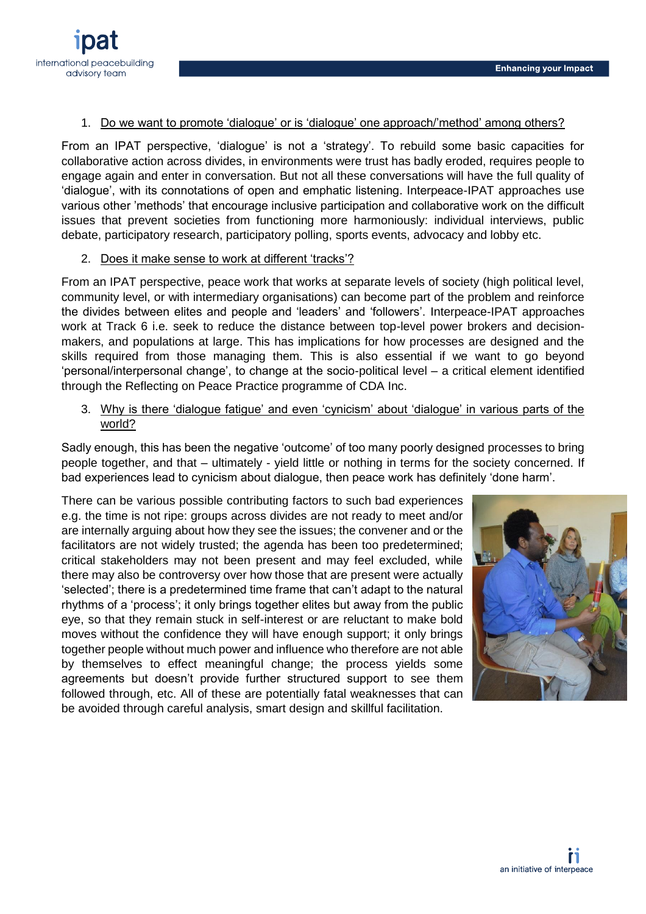

#### 1. Do we want to promote 'dialogue' or is 'dialogue' one approach/'method' among others?

From an IPAT perspective, 'dialogue' is not a 'strategy'. To rebuild some basic capacities for collaborative action across divides, in environments were trust has badly eroded, requires people to engage again and enter in conversation. But not all these conversations will have the full quality of 'dialogue', with its connotations of open and emphatic listening. Interpeace-IPAT approaches use various other 'methods' that encourage inclusive participation and collaborative work on the difficult issues that prevent societies from functioning more harmoniously: individual interviews, public debate, participatory research, participatory polling, sports events, advocacy and lobby etc.

### 2. Does it make sense to work at different 'tracks'?

From an IPAT perspective, peace work that works at separate levels of society (high political level, community level, or with intermediary organisations) can become part of the problem and reinforce the divides between elites and people and 'leaders' and 'followers'. Interpeace-IPAT approaches work at Track 6 i.e. seek to reduce the distance between top-level power brokers and decisionmakers, and populations at large. This has implications for how processes are designed and the skills required from those managing them. This is also essential if we want to go beyond 'personal/interpersonal change', to change at the socio-political level – a critical element identified through the Reflecting on Peace Practice programme of CDA Inc.

# 3. Why is there 'dialogue fatigue' and even 'cynicism' about 'dialogue' in various parts of the world?

Sadly enough, this has been the negative 'outcome' of too many poorly designed processes to bring people together, and that – ultimately - yield little or nothing in terms for the society concerned. If bad experiences lead to cynicism about dialogue, then peace work has definitely 'done harm'.

There can be various possible contributing factors to such bad experiences e.g. the time is not ripe: groups across divides are not ready to meet and/or are internally arguing about how they see the issues; the convener and or the facilitators are not widely trusted; the agenda has been too predetermined; critical stakeholders may not been present and may feel excluded, while there may also be controversy over how those that are present were actually 'selected'; there is a predetermined time frame that can't adapt to the natural rhythms of a 'process'; it only brings together elites but away from the public eye, so that they remain stuck in self-interest or are reluctant to make bold moves without the confidence they will have enough support; it only brings together people without much power and influence who therefore are not able by themselves to effect meaningful change; the process yields some agreements but doesn't provide further structured support to see them followed through, etc. All of these are potentially fatal weaknesses that can be avoided through careful analysis, smart design and skillful facilitation.